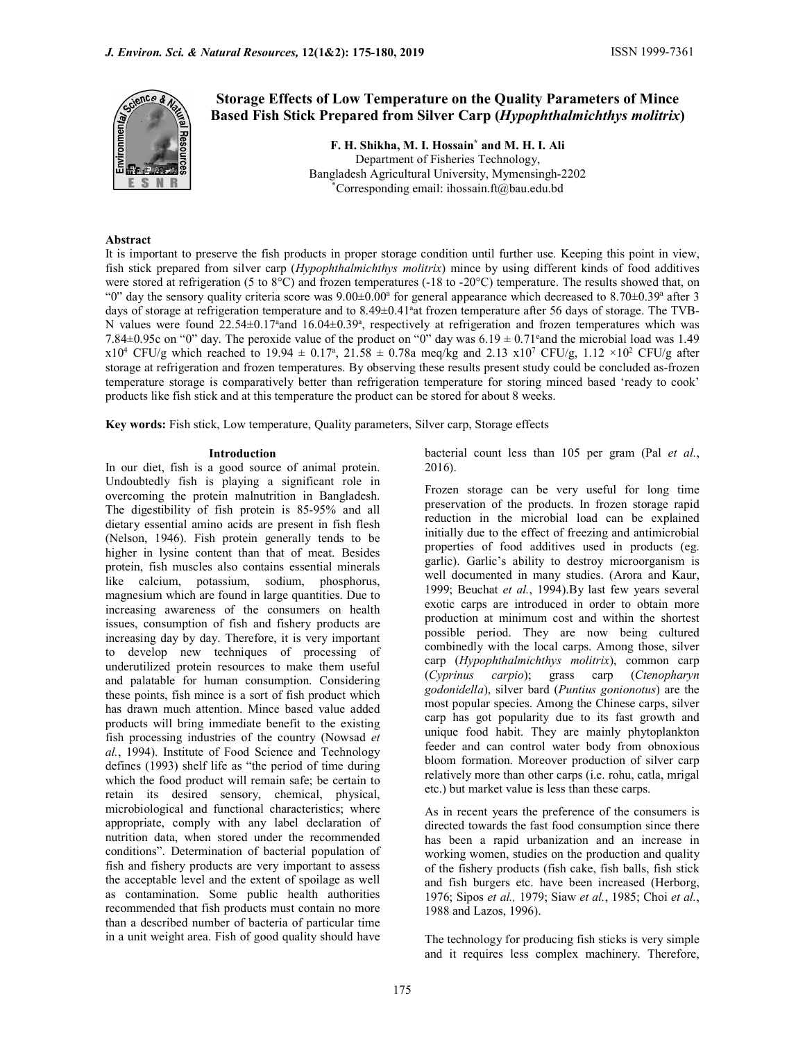

# Storage Effects of Low Temperature on the Quality Parameters of Mince Based Fish Stick Prepared from Silver Carp (Hypophthalmichthys molitrix)

F. H. Shikha, M. I. Hossain\* and M. H. I. Ali Department of Fisheries Technology, Bangladesh Agricultural University, Mymensingh-2202 \*Corresponding email: ihossain.ft@bau.edu.bd

## Abstract

It is important to preserve the fish products in proper storage condition until further use. Keeping this point in view, fish stick prepared from silver carp (Hypophthalmichthys molitrix) mince by using different kinds of food additives were stored at refrigeration (5 to 8°C) and frozen temperatures (-18 to -20°C) temperature. The results showed that, on " $0$ " day the sensory quality criteria score was  $9.00\pm0.00$ <sup>a</sup> for general appearance which decreased to  $8.70\pm0.39$ <sup>a</sup> after 3 days of storage at refrigeration temperature and to 8.49±0.41<sup>ª</sup> at frozen temperature after 56 days of storage. The TVB-N values were found 22.54 $\pm$ 0.17<sup>a</sup> and 16.04 $\pm$ 0.39<sup>a</sup>, respectively at refrigeration and frozen temperatures which was 7.84 $\pm$ 0.95c on "0" day. The peroxide value of the product on "0" day was 6.19  $\pm$  0.71° and the microbial load was 1.49  $x10^4$  CFU/g which reached to 19.94  $\pm$  0.17<sup>a</sup>, 21.58  $\pm$  0.78a meq/kg and 2.13  $x10^7$  CFU/g, 1.12  $\times 10^2$  CFU/g after storage at refrigeration and frozen temperatures. By observing these results present study could be concluded as-frozen temperature storage is comparatively better than refrigeration temperature for storing minced based 'ready to cook' products like fish stick and at this temperature the product can be stored for about 8 weeks.

Key words: Fish stick, Low temperature, Quality parameters, Silver carp, Storage effects

# Introduction

In our diet, fish is a good source of animal protein. 2016). Undoubtedly fish is playing a significant role in overcoming the protein malnutrition in Bangladesh. The digestibility of fish protein is 85-95% and all dietary essential amino acids are present in fish flesh (Nelson, 1946). Fish protein generally tends to be higher in lysine content than that of meat. Besides protein, fish muscles also contains essential minerals like calcium, potassium, sodium, phosphorus, magnesium which are found in large quantities. Due to increasing awareness of the consumers on health issues, consumption of fish and fishery products are increasing day by day. Therefore, it is very important to develop new techniques of processing of underutilized protein resources to make them useful  $\alpha$  carp (*Hypophinamichinys me* and polatishe for human consumption Considering (*Cyprinus carpio*); grass and palatable for human consumption. Considering these points, fish mince is a sort of fish product which has drawn much attention. Mince based value added products will bring immediate benefit to the existing fish processing industries of the country (Nowsad et al., 1994). Institute of Food Science and Technology defines (1993) shelf life as "the period of time during which the food product will remain safe; be certain to retain its desired sensory, chemical, physical, microbiological and functional characteristics; where appropriate, comply with any label declaration of nutrition data, when stored under the recommended conditions". Determination of bacterial population of fish and fishery products are very important to assess the acceptable level and the extent of spoilage as well as contamination. Some public health authorities recommended that fish products must contain no more 1988 and Lazos, 1996). than a described number of bacteria of particular time in a unit weight area. Fish of good quality should have

bacterial count less than 105 per gram (Pal et al.,

Frozen storage can be very useful for long time preservation of the products. In frozen storage rapid reduction in the microbial load can be explained initially due to the effect of freezing and antimicrobial properties of food additives used in products (eg. garlic). Garlic's ability to destroy microorganism is well documented in many studies. (Arora and Kaur, 1999; Beuchat et al., 1994).By last few years several exotic carps are introduced in order to obtain more production at minimum cost and within the shortest possible period. They are now being cultured combinedly with the local carps. Among those, silver carp (Hypophthalmichthys molitrix), common carp carp (Ctenopharyn godonidella), silver bard (Puntius gonionotus) are the most popular species. Among the Chinese carps, silver carp has got popularity due to its fast growth and unique food habit. They are mainly phytoplankton feeder and can control water body from obnoxious bloom formation. Moreover production of silver carp relatively more than other carps (i.e. rohu, catla, mrigal etc.) but market value is less than these carps.

As in recent years the preference of the consumers is directed towards the fast food consumption since there has been a rapid urbanization and an increase in working women, studies on the production and quality of the fishery products (fish cake, fish balls, fish stick and fish burgers etc. have been increased (Herborg, 1976; Sipos et al., 1979; Siaw et al., 1985; Choi et al.,

The technology for producing fish sticks is very simple and it requires less complex machinery. Therefore,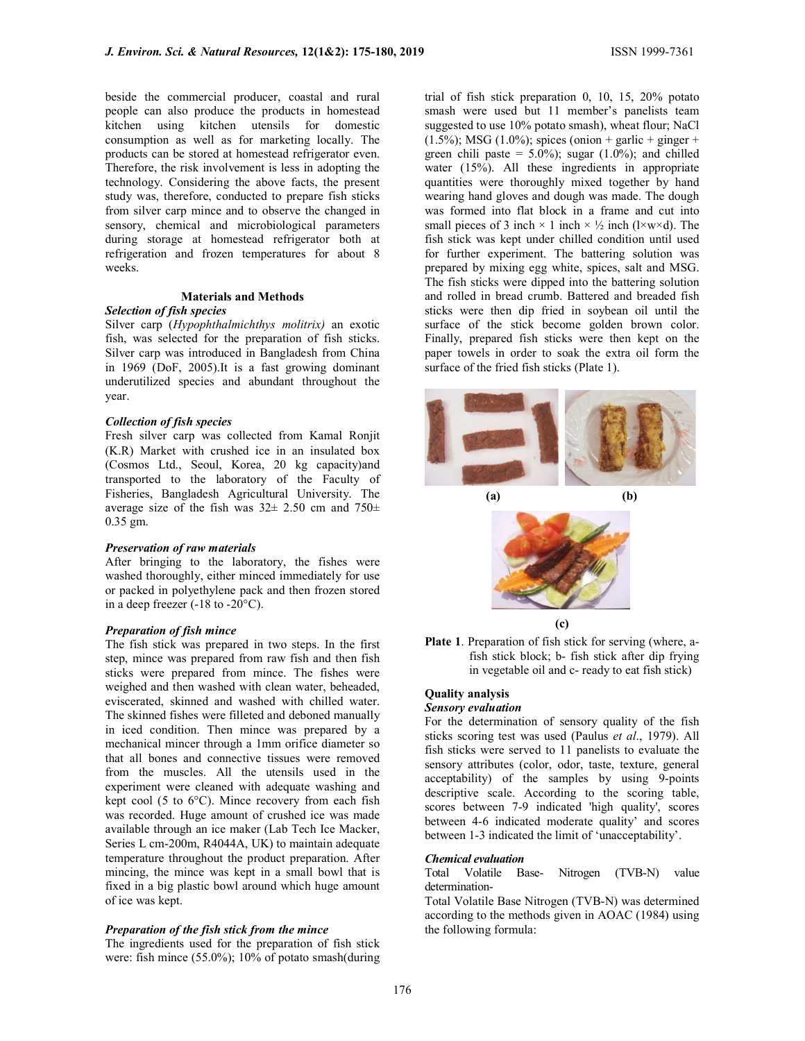beside the commercial producer, coastal and rural people can also produce the products in homestead kitchen using kitchen utensils for domestic consumption as well as for marketing locally. The products can be stored at homestead refrigerator even. Therefore, the risk involvement is less in adopting the technology. Considering the above facts, the present study was, therefore, conducted to prepare fish sticks from silver carp mince and to observe the changed in sensory, chemical and microbiological parameters during storage at homestead refrigerator both at refrigeration and frozen temperatures for about 8 weeks.

# Materials and Methods

# Selection of fish species

Silver carp (Hypophthalmichthys molitrix) an exotic fish, was selected for the preparation of fish sticks. Silver carp was introduced in Bangladesh from China in 1969 (DoF, 2005).It is a fast growing dominant underutilized species and abundant throughout the year.

#### Collection of fish species

Fresh silver carp was collected from Kamal Ronjit  $(K.R)$  Market with crushed ice in an insulated box (Cosmos Ltd., Seoul, Korea, 20 kg capacity)and transported to the laboratory of the Faculty of Fisheries, Bangladesh Agricultural University. The average size of the fish was  $32 \pm 2.50$  cm and  $750 \pm 1.5$ 0.35 gm.

#### Preservation of raw materials

After bringing to the laboratory, the fishes were washed thoroughly, either minced immediately for use or packed in polyethylene pack and then frozen stored in a deep freezer (-18 to -20°C).

#### Preparation of fish mince

The fish stick was prepared in two steps. In the first step, mince was prepared from raw fish and then fish sticks were prepared from mince. The fishes were weighed and then washed with clean water, beheaded, eviscerated, skinned and washed with chilled water. The skinned fishes were filleted and deboned manually in iced condition. Then mince was prepared by a mechanical mincer through a 1mm orifice diameter so that all bones and connective tissues were removed from the muscles. All the utensils used in the experiment were cleaned with adequate washing and kept cool (5 to 6°C). Mince recovery from each fish was recorded. Huge amount of crushed ice was made available through an ice maker (Lab Tech Ice Macker, Series L cm-200m, R4044A, UK) to maintain adequate temperature throughout the product preparation. After mincing, the mince was kept in a small bowl that is fixed in a big plastic bowl around which huge amount of ice was kept.

## Preparation of the fish stick from the mince

The ingredients used for the preparation of fish stick were: fish mince (55.0%); 10% of potato smash(during

trial of fish stick preparation 0, 10, 15, 20% potato smash were used but 11 member's panelists team suggested to use 10% potato smash), wheat flour; NaCl  $(1.5\%)$ ; MSG  $(1.0\%)$ ; spices (onion + garlic + ginger + green chili paste =  $5.0\%$ ); sugar (1.0%); and chilled water (15%). All these ingredients in appropriate quantities were thoroughly mixed together by hand wearing hand gloves and dough was made. The dough was formed into flat block in a frame and cut into small pieces of 3 inch  $\times$  1 inch  $\times$  ½ inch (l $\times$ w $\times$ d). The fish stick was kept under chilled condition until used for further experiment. The battering solution was prepared by mixing egg white, spices, salt and MSG. The fish sticks were dipped into the battering solution and rolled in bread crumb. Battered and breaded fish sticks were then dip fried in soybean oil until the surface of the stick become golden brown color. Finally, prepared fish sticks were then kept on the paper towels in order to soak the extra oil form the surface of the fried fish sticks (Plate 1).



Plate 1. Preparation of fish stick for serving (where, afish stick block; b- fish stick after dip frying in vegetable oil and c- ready to eat fish stick)

# Quality analysis

#### Sensory evaluation

For the determination of sensory quality of the fish sticks scoring test was used (Paulus et al., 1979). All fish sticks were served to 11 panelists to evaluate the sensory attributes (color, odor, taste, texture, general acceptability) of the samples by using 9-points descriptive scale. According to the scoring table, scores between 7-9 indicated 'high quality', scores between 4-6 indicated moderate quality' and scores between 1-3 indicated the limit of 'unacceptability'.

# **Chemical evaluation**<br>Total Volatile Base-

Nitrogen (TVB-N) value determination-

Total Volatile Base Nitrogen (TVB-N) was determined according to the methods given in AOAC (1984) using the following formula: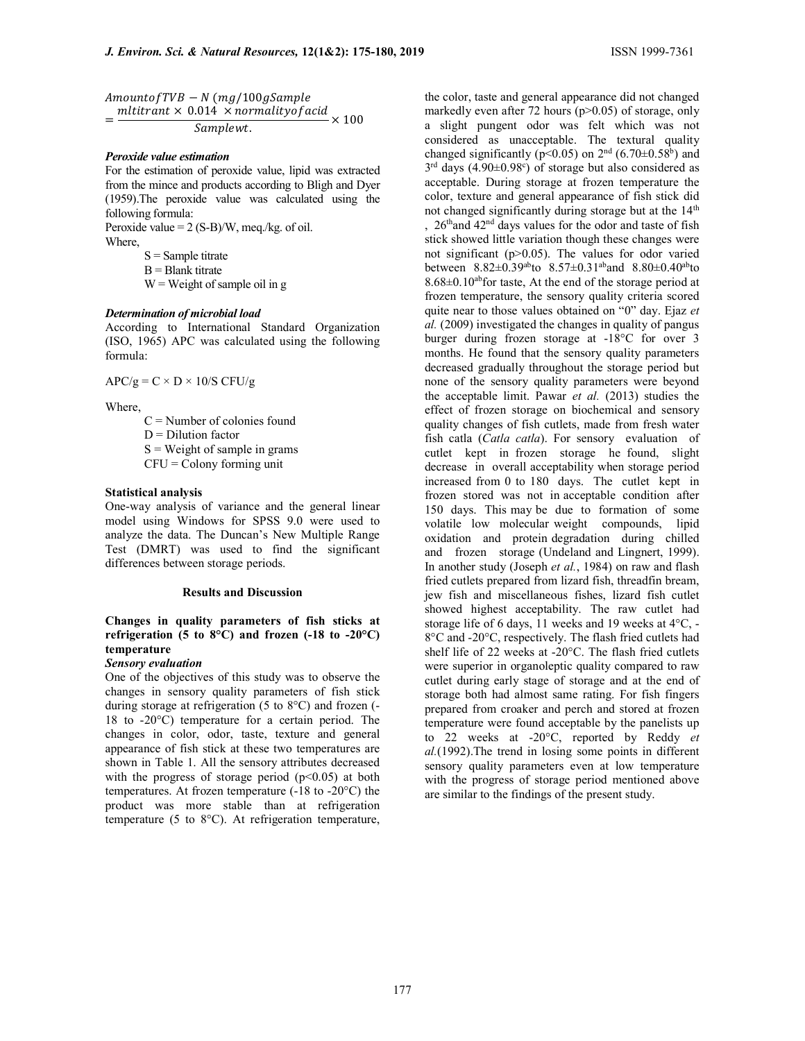$Amount of TVB - N (mg/100 gSample)$ = mltitrant  $\times$  0.014  $\times$  normality of acid  $\times$  100

Samplewt.

#### Peroxide value estimation

For the estimation of peroxide value, lipid was extracted from the mince and products according to Bligh and Dyer (1959).The peroxide value was calculated using the following formula:

Peroxide value  $= 2$  (S-B)/W, meg./kg. of oil. Where,

 $S =$  Sample titrate

 $B =$ Blank titrate

 $W = Weight of sample oil in g$ 

# Determination of microbial load

According to International Standard Organization (ISO, 1965) APC was calculated using the following formula:

 $APC/g = C \times D \times 10/S CFU/g$ 

Where,

 $C =$  Number of colonies found

 $D = Dilution factor$ 

 $S = Weight of sample in grams$ 

 $CFU =$  Colony forming unit

# Statistical analysis

One-way analysis of variance and the general linear model using Windows for SPSS 9.0 were used to analyze the data. The Duncan's New Multiple Range Test (DMRT) was used to find the significant differences between storage periods.

#### Results and Discussion

# Changes in quality parameters of fish sticks at refrigeration (5 to 8 $^{\circ}$ C) and frozen (-18 to -20 $^{\circ}$ C) temperature

# Sensory evaluation

One of the objectives of this study was to observe the changes in sensory quality parameters of fish stick during storage at refrigeration (5 to 8°C) and frozen (- 18 to -20°C) temperature for a certain period. The changes in color, odor, taste, texture and general appearance of fish stick at these two temperatures are shown in Table 1. All the sensory attributes decreased with the progress of storage period  $(p<0.05)$  at both temperatures. At frozen temperature  $(-18 \text{ to } -20^{\circ} \text{C})$  the product was more stable than at refrigeration temperature (5 to 8°C). At refrigeration temperature,

the color, taste and general appearance did not changed markedly even after 72 hours (p>0.05) of storage, only a slight pungent odor was felt which was not considered as unacceptable. The textural quality changed significantly ( $p$ <0.05) on  $2<sup>nd</sup>$  (6.70 $\pm$ 0.58<sup>b</sup>) and  $3<sup>rd</sup>$  days (4.90 $\pm$ 0.98°) of storage but also considered as acceptable. During storage at frozen temperature the color, texture and general appearance of fish stick did not changed significantly during storage but at the 14<sup>th</sup> , 26thand 42nd days values for the odor and taste of fish stick showed little variation though these changes were not significant (p>0.05). The values for odor varied between 8.82±0.39abto 8.57±0.31aband 8.80±0.40abto  $8.68\pm0.10$ <sup>ab</sup>for taste, At the end of the storage period at frozen temperature, the sensory quality criteria scored quite near to those values obtained on "0" day. Ejaz et al. (2009) investigated the changes in quality of pangus burger during frozen storage at -18°C for over 3 months. He found that the sensory quality parameters decreased gradually throughout the storage period but none of the sensory quality parameters were beyond the acceptable limit. Pawar et al. (2013) studies the effect of frozen storage on biochemical and sensory quality changes of fish cutlets, made from fresh water fish catla (Catla catla). For sensory evaluation of cutlet kept in frozen storage he found, slight decrease in overall acceptability when storage period increased from 0 to 180 days. The cutlet kept in frozen stored was not in acceptable condition after 150 days. This may be due to formation of some volatile low molecular weight compounds, lipid oxidation and protein degradation during chilled and frozen storage (Undeland and Lingnert, 1999). In another study (Joseph et al., 1984) on raw and flash fried cutlets prepared from lizard fish, threadfin bream, jew fish and miscellaneous fishes, lizard fish cutlet showed highest acceptability. The raw cutlet had storage life of 6 days, 11 weeks and 19 weeks at 4°C, - 8°C and -20°C, respectively. The flash fried cutlets had shelf life of 22 weeks at -20°C. The flash fried cutlets were superior in organoleptic quality compared to raw cutlet during early stage of storage and at the end of storage both had almost same rating. For fish fingers prepared from croaker and perch and stored at frozen temperature were found acceptable by the panelists up to 22 weeks at -20°C, reported by Reddy et al.(1992).The trend in losing some points in different sensory quality parameters even at low temperature with the progress of storage period mentioned above are similar to the findings of the present study.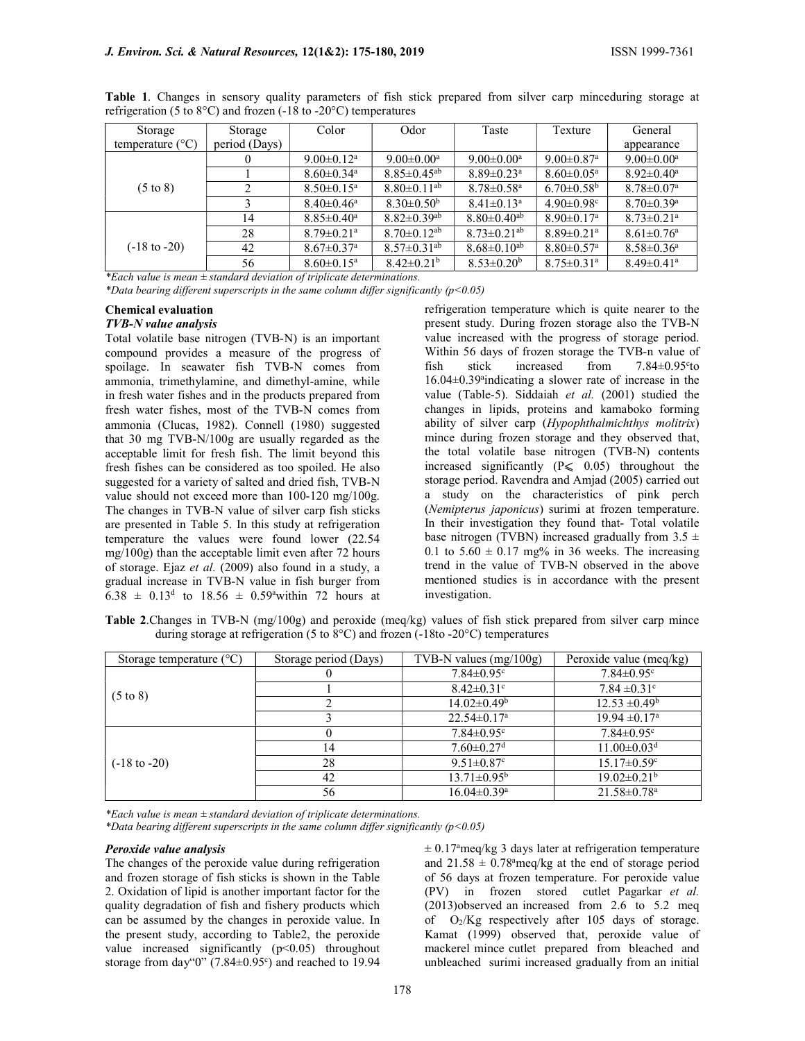| Storage                   | Storage       | Color                        | Odor                          | Taste                         | Texture                      | General                      |
|---------------------------|---------------|------------------------------|-------------------------------|-------------------------------|------------------------------|------------------------------|
| temperature $(^{\circ}C)$ | period (Days) |                              |                               |                               |                              | appearance                   |
|                           | 0             | $9.00 \pm 0.12^{\text{a}}$   | $9.00 \pm 0.00^{\text{a}}$    | $9.00 \pm 0.00^{\mathrm{a}}$  | $9.00 \pm 0.87$ <sup>a</sup> | $9.00 \pm 0.00^{\text{a}}$   |
|                           |               | $8.60 \pm 0.34$ <sup>a</sup> | $8.85 \pm 0.45$ <sup>ab</sup> | $8.89 \pm 0.23$ <sup>a</sup>  | $8.60 \pm 0.05^{\text{a}}$   | $8.92 \pm 0.40^{\circ}$      |
| $(5 \text{ to } 8)$       | ↑             | $8.50 \pm 0.15^{\mathrm{a}}$ | $8.80\pm0.11$ <sup>ab</sup>   | $8.78 \pm 0.58$ <sup>a</sup>  | $6.70 \pm 0.58$ <sup>b</sup> | $8.78 \pm 0.07$ <sup>a</sup> |
|                           | 3             | $8.40 \pm 0.46^{\mathrm{a}}$ | $8.30\pm0.50b$                | $8.41 \pm 0.13$ <sup>a</sup>  | $4.90 \pm 0.98$ <sup>c</sup> | $8.70 \pm 0.39$ <sup>a</sup> |
|                           | 14            | $8.85 \pm 0.40^a$            | $8.82 \pm 0.39$ <sup>ab</sup> | $8.80 \pm 0.40$ <sup>ab</sup> | $8.90 \pm 0.17$ <sup>a</sup> | $8.73 \pm 0.21$ <sup>a</sup> |
|                           | 28            | $8.79 \pm 0.21$ <sup>a</sup> | $8.70 \pm 0.12$ <sup>ab</sup> | $8.73 \pm 0.21$ <sup>ab</sup> | $8.89 \pm 0.21$ <sup>a</sup> | $8.61 \pm 0.76$ <sup>a</sup> |
| $(-18 \text{ to } -20)$   | 42            | $8.67 \pm 0.37$ <sup>a</sup> | $8.57 \pm 0.31$ <sup>ab</sup> | $8.68 \pm 0.10^{ab}$          | $8.80 \pm 0.57$ <sup>a</sup> | $8.58 \pm 0.36^{\circ}$      |
|                           | 56            | $8.60 \pm 0.15^{\text{a}}$   | $8.42 \pm 0.21^b$             | $8.53 \pm 0.20^b$             | $8.75 \pm 0.31$ <sup>a</sup> | $8.49 \pm 0.41$ <sup>a</sup> |

Table 1. Changes in sensory quality parameters of fish stick prepared from silver carp minceduring storage at refrigeration (5 to 8°C) and frozen (-18 to -20°C) temperatures

\*Each value is mean  $\pm$  standard deviation of triplicate determinations.

\*Data bearing different superscripts in the same column differ significantly  $(p<0.05)$ 

# Chemical evaluation

# TVB-N value analysis

Total volatile base nitrogen (TVB-N) is an important compound provides a measure of the progress of spoilage. In seawater fish TVB-N comes from ammonia, trimethylamine, and dimethyl-amine, while in fresh water fishes and in the products prepared from fresh water fishes, most of the TVB-N comes from ammonia (Clucas, 1982). Connell (1980) suggested that 30 mg TVB-N/100g are usually regarded as the acceptable limit for fresh fish. The limit beyond this fresh fishes can be considered as too spoiled. He also suggested for a variety of salted and dried fish, TVB-N value should not exceed more than 100-120 mg/100g. The changes in TVB-N value of silver carp fish sticks are presented in Table 5. In this study at refrigeration temperature the values were found lower (22.54 mg/100g) than the acceptable limit even after 72 hours of storage. Ejaz et al. (2009) also found in a study, a gradual increase in TVB-N value in fish burger from  $6.38 \pm 0.13^d$  to  $18.56 \pm 0.59^a$  within 72 hours at refrigeration temperature which is quite nearer to the present study. During frozen storage also the TVB-N value increased with the progress of storage period. Within 56 days of frozen storage the TVB-n value of fish stick increased from  $7.84 \pm 0.95^{\circ}$ to 16.04±0.39<sup>a</sup> indicating a slower rate of increase in the value (Table-5). Siddaiah et al. (2001) studied the changes in lipids, proteins and kamaboko forming ability of silver carp (Hypophthalmichthys molitrix) mince during frozen storage and they observed that, the total volatile base nitrogen (TVB-N) contents increased significantly  $(P \le 0.05)$  throughout the storage period. Ravendra and Amjad (2005) carried out a study on the characteristics of pink perch (Nemipterus japonicus) surimi at frozen temperature. In their investigation they found that- Total volatile base nitrogen (TVBN) increased gradually from  $3.5 \pm$ 0.1 to  $5.60 \pm 0.17$  mg% in 36 weeks. The increasing trend in the value of TVB-N observed in the above mentioned studies is in accordance with the present investigation.

Table 2.Changes in TVB-N (mg/100g) and peroxide (meq/kg) values of fish stick prepared from silver carp mince during storage at refrigeration (5 to 8°C) and frozen (-18to -20°C) temperatures

| Storage temperature $(^{\circ}C)$ | Storage period (Days) | TVB-N values $(mg/100g)$        | Peroxide value (meq/kg)       |
|-----------------------------------|-----------------------|---------------------------------|-------------------------------|
|                                   |                       | $7.84 \pm 0.95$ <sup>c</sup>    | $7.84 \pm 0.95$ <sup>c</sup>  |
|                                   |                       | $8.42 \pm 0.31$ °               | $7.84 \pm 0.31$ °             |
| $(5 \text{ to } 8)$               |                       | $14.02 \pm 0.49^{\rm b}$        | $12.53 \pm 0.49^b$            |
|                                   |                       | $22.54 \pm 0.17$ <sup>a</sup>   | $19.94 \pm 0.17^{\text{a}}$   |
|                                   |                       | $7.84 \pm 0.95$ <sup>c</sup>    | $7.84 \pm 0.95$ <sup>c</sup>  |
|                                   | 14                    | $7.60 \pm 0.27$ <sup>d</sup>    | $11.00 \pm 0.03$ <sup>d</sup> |
| $(-18 \text{ to } -20)$           | 28                    | 9.51 $\pm$ 0.87 $\rm{^{\circ}}$ | $15.17 \pm 0.59$ <sup>c</sup> |
|                                   | 42                    | $13.71 \pm 0.95^{\rm b}$        | $19.02 \pm 0.21$ <sup>b</sup> |
|                                   | 56                    | $16.04 \pm 0.39$ <sup>a</sup>   | $21.58 \pm 0.78$ <sup>a</sup> |

\*Each value is mean  $\pm$  standard deviation of triplicate determinations.

\*Data bearing different superscripts in the same column differ significantly ( $p$ <0.05)

#### Peroxide value analysis

The changes of the peroxide value during refrigeration and frozen storage of fish sticks is shown in the Table 2. Oxidation of lipid is another important factor for the quality degradation of fish and fishery products which can be assumed by the changes in peroxide value. In the present study, according to Table2, the peroxide value increased significantly  $(p<0.05)$  throughout storage from day" $0$ " (7.84 $\pm$ 0.95 $\textdegree$ ) and reached to 19.94  $\pm$  0.17<sup>a</sup>meg/kg 3 days later at refrigeration temperature and  $21.58 \pm 0.78$ <sup>a</sup>meq/kg at the end of storage period of 56 days at frozen temperature. For peroxide value (PV) in frozen stored cutlet Pagarkar et al. (2013)observed an increased from 2.6 to 5.2 meq of  $O_2/Kg$  respectively after 105 days of storage. Kamat (1999) observed that, peroxide value of mackerel mince cutlet prepared from bleached and unbleached surimi increased gradually from an initial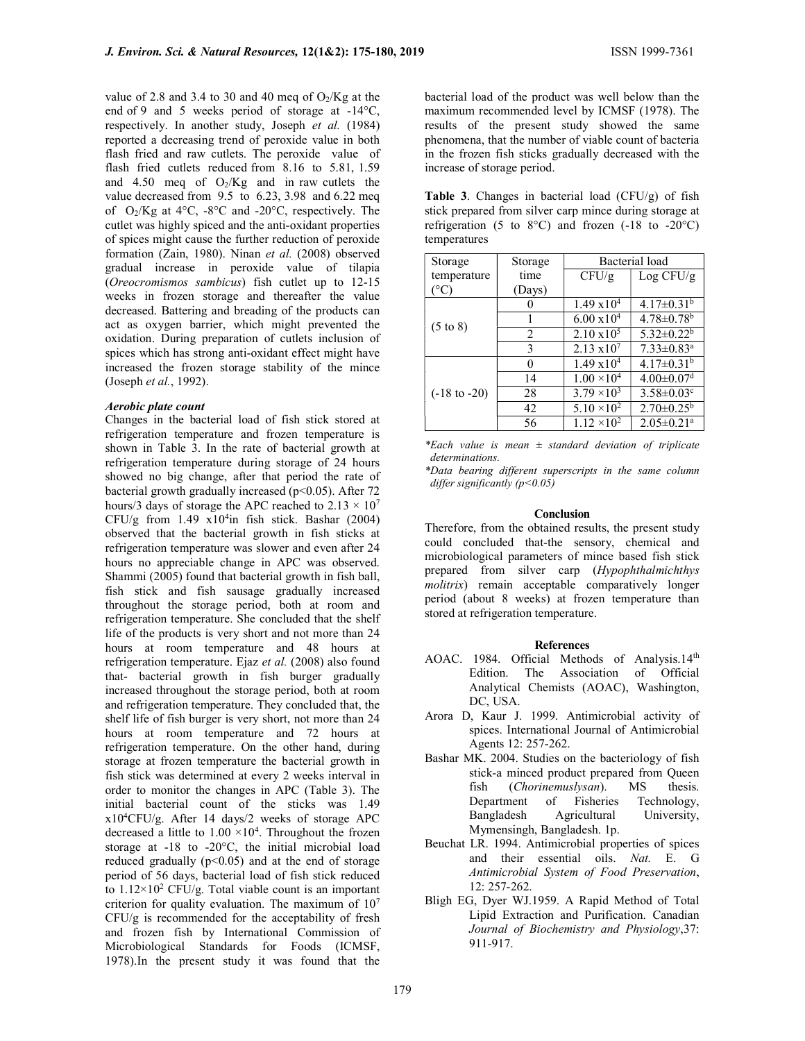value of 2.8 and 3.4 to 30 and 40 meq of  $O_2/Kg$  at the end of 9 and 5 weeks period of storage at -14°C, respectively. In another study, Joseph et al. (1984) reported a decreasing trend of peroxide value in both flash fried and raw cutlets. The peroxide value of flash fried cutlets reduced from 8.16 to 5.81, 1.59 and 4.50 meq of  $O_2/Kg$  and in raw cutlets the value decreased from 9.5 to 6.23, 3.98 and 6.22 meq of O2/Kg at 4°C, -8°C and -20°C, respectively. The cutlet was highly spiced and the anti-oxidant properties of spices might cause the further reduction of peroxide formation (Zain, 1980). Ninan et al. (2008) observed gradual increase in peroxide value of tilapia (Oreocromismos sambicus) fish cutlet up to 12-15 weeks in frozen storage and thereafter the value decreased. Battering and breading of the products can act as oxygen barrier, which might prevented the oxidation. During preparation of cutlets inclusion of spices which has strong anti-oxidant effect might have increased the frozen storage stability of the mince (Joseph et al., 1992).

#### Aerobic plate count

Changes in the bacterial load of fish stick stored at refrigeration temperature and frozen temperature is shown in Table 3. In the rate of bacterial growth at refrigeration temperature during storage of 24 hours showed no big change, after that period the rate of bacterial growth gradually increased ( $p$ <0.05). After 72 hours/3 days of storage the APC reached to  $2.13 \times 10^7$ CFU/g from  $1.49 \times 10^4$ in fish stick. Bashar (2004) observed that the bacterial growth in fish sticks at refrigeration temperature was slower and even after 24 hours no appreciable change in APC was observed. Shammi (2005) found that bacterial growth in fish ball, fish stick and fish sausage gradually increased throughout the storage period, both at room and refrigeration temperature. She concluded that the shelf life of the products is very short and not more than 24 hours at room temperature and 48 hours at refrigeration temperature. Ejaz et al. (2008) also found that- bacterial growth in fish burger gradually increased throughout the storage period, both at room and refrigeration temperature. They concluded that, the shelf life of fish burger is very short, not more than 24 hours at room temperature and 72 hours at refrigeration temperature. On the other hand, during storage at frozen temperature the bacterial growth in fish stick was determined at every 2 weeks interval in order to monitor the changes in APC (Table 3). The initial bacterial count of the sticks was 1.49 x10<sup>4</sup>CFU/g. After 14 days/2 weeks of storage APC decreased a little to  $1.00 \times 10^4$ . Throughout the frozen storage at -18 to -20°C, the initial microbial load reduced gradually  $(p<0.05)$  and at the end of storage period of 56 days, bacterial load of fish stick reduced to  $1.12 \times 10^2$  CFU/g. Total viable count is an important criterion for quality evaluation. The maximum of  $10<sup>7</sup>$ CFU/g is recommended for the acceptability of fresh and frozen fish by International Commission of Microbiological Standards for Foods (ICMSF, 1978).In the present study it was found that the

bacterial load of the product was well below than the maximum recommended level by ICMSF (1978). The results of the present study showed the same phenomena, that the number of viable count of bacteria in the frozen fish sticks gradually decreased with the increase of storage period.

Table 3. Changes in bacterial load (CFU/g) of fish stick prepared from silver carp mince during storage at refrigeration (5 to 8 $^{\circ}$ C) and frozen (-18 to -20 $^{\circ}$ C) temperatures

| Storage                 | Storage        | Bacterial load       |                              |
|-------------------------|----------------|----------------------|------------------------------|
| temperature             | time           | CFU/g                | Log CFU/g                    |
| $(^\circ C)$            | (Days)         |                      |                              |
| $(5 \text{ to } 8)$     |                | $1.49 \times 10^{4}$ | $4.17 \pm 0.31^b$            |
|                         |                | $6.00 \times 10^{4}$ | $4.78 \pm 0.78$ <sup>b</sup> |
|                         | $\mathfrak{D}$ | $2.10 \times 10^5$   | $5.32 \pm 0.22^b$            |
|                         | 3              | $2.13 \times 10^7$   | $7.33 \pm 0.83$ <sup>a</sup> |
|                         |                | $1.49 \times 10^{4}$ | $4.17 \pm 0.31^b$            |
|                         | 14             | $1.00 \times 10^4$   | $4.00 \pm 0.07$ <sup>d</sup> |
| $(-18 \text{ to } -20)$ | 28             | $3.79 \times 10^3$   | $3.58 \pm 0.03$ <sup>c</sup> |
|                         | 42             | $5.10 \times 10^{2}$ | $2.70 \pm 0.25^b$            |
|                         | 56             | $1.12 \times 10^2$   | $2.05 \pm 0.21$ <sup>a</sup> |

<sup>\*</sup>Each value is mean  $\pm$  standard deviation of triplicate determinations.

\*Data bearing different superscripts in the same column differ significantly  $(p<0.05)$ 

#### **Conclusion**

Therefore, from the obtained results, the present study could concluded that-the sensory, chemical and microbiological parameters of mince based fish stick prepared from silver carp (Hypophthalmichthys molitrix) remain acceptable comparatively longer period (about 8 weeks) at frozen temperature than stored at refrigeration temperature.

#### References

- AOAC. 1984. Official Methods of Analysis.14th Edition. The Association of Official Analytical Chemists (AOAC), Washington, DC, USA.
- Arora D, Kaur J. 1999. Antimicrobial activity of spices. International Journal of Antimicrobial Agents 12: 257-262.
- Bashar MK. 2004. Studies on the bacteriology of fish stick-a minced product prepared from Queen fish (*Chorinemuslysan*). MS thesis. Department of Fisheries Technology, Bangladesh Agricultural University, Mymensingh, Bangladesh. 1p.
- Beuchat LR. 1994. Antimicrobial properties of spices and their essential oils. Nat. E. G Antimicrobial System of Food Preservation, 12: 257-262.
- Bligh EG, Dyer WJ.1959. A Rapid Method of Total Lipid Extraction and Purification. Canadian Journal of Biochemistry and Physiology,37: 911-917.